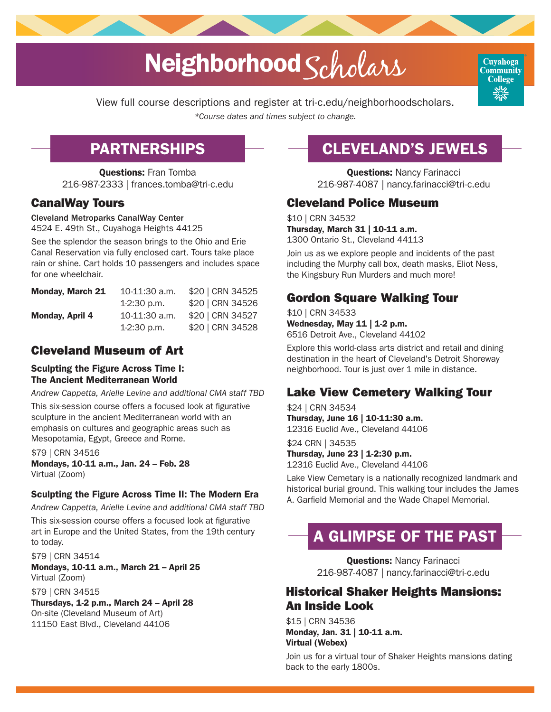# Neighborhood Scholars



View full course descriptions and register at [tri-c.edu/neighborhoodscholars](https://www.tri-c.edu/encore-senior-adult-programs/neighborhood-scholars/index.html).

*\*Course dates and times subject to change.*

## PARTNERSHIPS

Questions: Fran Tomba 216-987-2333 | [frances.tomba@tri-c.edu](mailto:frances.tomba%40tri-c.edu?subject=)

#### CanalWay Tours

Cleveland Metroparks CanalWay Center

4524 E. 49th St., Cuyahoga Heights 44125

See the splendor the season brings to the Ohio and Erie Canal Reservation via fully enclosed cart. Tours take place rain or shine. Cart holds 10 passengers and includes space for one wheelchair.

| <b>Monday, March 21</b> | 10-11:30 a.m. | \$20   CRN 34525 |
|-------------------------|---------------|------------------|
|                         | $1-2:30$ p.m. | \$20   CRN 34526 |
| Monday, April 4         | 10-11:30 a.m. | \$20   CRN 34527 |
|                         | 1-2:30 p.m.   | \$20   CRN 34528 |

## Cleveland Museum of Art

#### Sculpting the Figure Across Time I: The Ancient Mediterranean World

*Andrew Cappetta, Arielle Levine and additional CMA staff TBD* 

This six-session course offers a focused look at figurative sculpture in the ancient Mediterranean world with an emphasis on cultures and geographic areas such as Mesopotamia, Egypt, Greece and Rome.

\$79 | CRN 34516 Mondays, 10-11 a.m., Jan. 24 – Feb. 28 Virtual (Zoom)

#### Sculpting the Figure Across Time II: The Modern Era

*Andrew Cappetta, Arielle Levine and additional CMA staff TBD* 

This six-session course offers a focused look at figurative art in Europe and the United States, from the 19th century to today.

\$79 | CRN 34514 Mondays, 10-11 a.m., March 21 – April 25 Virtual (Zoom)

\$79 | CRN 34515

Thursdays, 1-2 p.m., March 24 – April 28 On-site (Cleveland Museum of Art) 11150 East Blvd., Cleveland 44106

# CLEVELAND'S JEWELS

**Questions: Nancy Farinacci** 216-987-4087 | [nancy.farinacci@tri-c.edu](mailto:nancy.farinacci%40tri-c.edu?subject=)

### Cleveland Police Museum

\$10 | CRN 34532 Thursday, March 31 | 10-11 a.m. 1300 Ontario St., Cleveland 44113

Join us as we explore people and incidents of the past including the Murphy call box, death masks, Eliot Ness, the Kingsbury Run Murders and much more!

## Gordon Square Walking Tour

\$10 | CRN 34533 Wednesday, May 11 | 1-2 p.m. 6516 Detroit Ave., Cleveland 44102

Explore this world-class arts district and retail and dining destination in the heart of Cleveland's Detroit Shoreway neighborhood. Tour is just over 1 mile in distance.

## Lake View Cemetery Walking Tour

\$24 | CRN 34534 Thursday, June 16 | 10-11:30 a.m. 12316 Euclid Ave., Cleveland 44106

\$24 CRN | 34535 Thursday, June 23 | 1-2:30 p.m. 12316 Euclid Ave., Cleveland 44106

Lake View Cemetary is a nationally recognized landmark and historical burial ground. This walking tour includes the James A. Garfield Memorial and the Wade Chapel Memorial.

# A GLIMPSE OF THE PAST

**Questions: Nancy Farinacci** 216-987-4087 | [nancy.farinacci@tri-c.edu](mailto:nancy.farinacci%40tri-c.edu?subject=)

### Historical Shaker Heights Mansions: An Inside Look

\$15 | CRN 34536 Monday, Jan. 31 | 10-11 a.m. Virtual (Webex)

Join us for a virtual tour of Shaker Heights mansions dating back to the early 1800s.